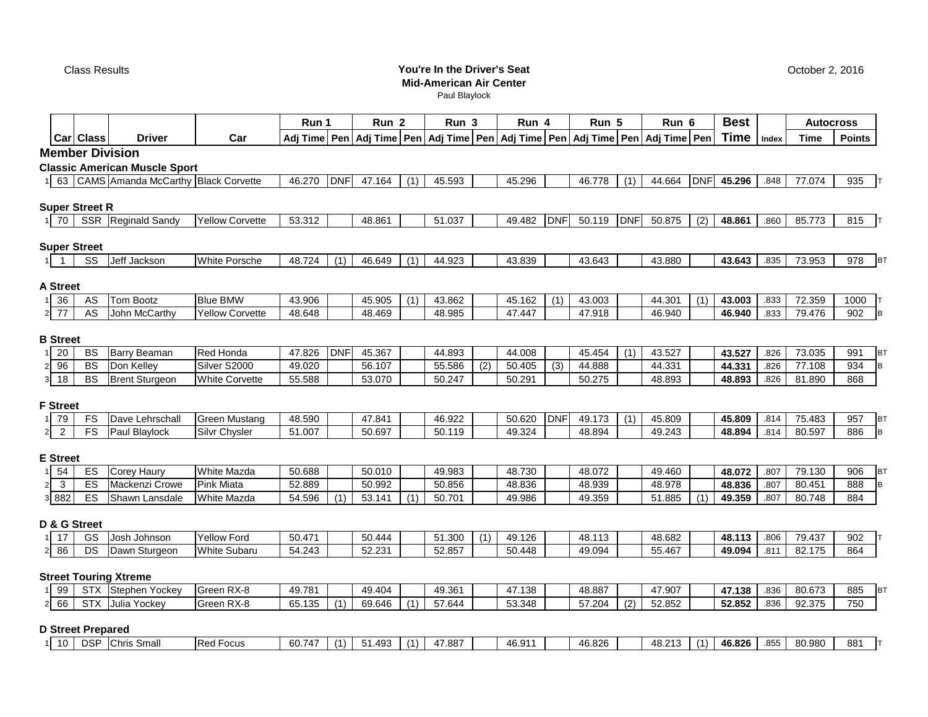Class Results

## **You're In the Driver's Seat Mid-American Air Center**

Paul Blaylock

**Run 1 Run 2 Run 3**

**Run 4 Run 5 Run 6**

|                                        | Car Class                | <b>Driver</b>                            | Car                              |                  |            |                  |     |                  |     | Adj Time   Pen   Adj Time   Pen   Adj Time   Pen   Adj Time   Pen   Adj Time   Pen   Adj Time   Pen   Time   Index |            |                  |            |                  |            |                  |              | <b>Time</b>      | <b>Points</b>    |
|----------------------------------------|--------------------------|------------------------------------------|----------------------------------|------------------|------------|------------------|-----|------------------|-----|--------------------------------------------------------------------------------------------------------------------|------------|------------------|------------|------------------|------------|------------------|--------------|------------------|------------------|
|                                        |                          | <b>Member Division</b>                   |                                  |                  |            |                  |     |                  |     |                                                                                                                    |            |                  |            |                  |            |                  |              |                  |                  |
|                                        |                          | <b>Classic American Muscle Sport</b>     |                                  |                  |            |                  |     |                  |     |                                                                                                                    |            |                  |            |                  |            |                  |              |                  |                  |
|                                        |                          | 1 63 CAMS Amanda McCarthy Black Corvette |                                  | 46.270           | <b>DNF</b> | 47.164           | (1) | 45.593           |     | 45.296                                                                                                             |            | 46.778           | (1)        | 44.664           | <b>DNF</b> | 45.296           | .848         | 77.074           | 935 T            |
|                                        | <b>Super Street R</b>    |                                          |                                  |                  |            |                  |     |                  |     |                                                                                                                    |            |                  |            |                  |            |                  |              |                  |                  |
| 70                                     |                          | SSR Reginald Sandy                       | <b>Yellow Corvette</b>           | 53.312           |            | 48.861           |     | 51.037           |     | 49.482                                                                                                             | <b>DNF</b> | 50.119           | <b>DNF</b> | 50.875           | (2)        | 48.861           | .860         | 85.773           | 815              |
|                                        |                          |                                          |                                  |                  |            |                  |     |                  |     |                                                                                                                    |            |                  |            |                  |            |                  |              |                  |                  |
|                                        | <b>Super Street</b>      |                                          |                                  |                  |            |                  |     |                  |     |                                                                                                                    |            |                  |            |                  |            |                  |              |                  |                  |
| 1<br>$\overline{1}$                    | SS                       | Jeff Jackson                             | <b>White Porsche</b>             | 48.724           | (1)        | 46.649           | (1) | 44.923           |     | 43.839                                                                                                             |            | 43.643           |            | 43.880           |            | 43.643           | .835         | 73.953           | 978<br><b>BT</b> |
|                                        |                          |                                          |                                  |                  |            |                  |     |                  |     |                                                                                                                    |            |                  |            |                  |            |                  |              |                  |                  |
| A Street                               |                          |                                          |                                  |                  |            |                  |     |                  |     |                                                                                                                    |            |                  |            |                  |            |                  |              |                  |                  |
| 36<br>1                                | AS                       | Tom Bootz                                | <b>Blue BMW</b>                  | 43.906           |            | 45.905           | (1) | 43.862           |     | 45.162                                                                                                             | (1)        | 43.003           |            | 44.301           | (1)        | 43.003           | .833         | 72.359           | 1000<br>IT.      |
| $\overline{77}$<br>$\overline{2}$      | AS                       | John McCarthy                            | Yellow Corvette                  | 48.648           |            | 48.469           |     | 48.985           |     | 47.447                                                                                                             |            | 47.918           |            | 46.940           |            | 46.940           | .833         | 79.476           | 902<br>B         |
| <b>B</b> Street                        |                          |                                          |                                  |                  |            |                  |     |                  |     |                                                                                                                    |            |                  |            |                  |            |                  |              |                  |                  |
| 20<br>$\mathbf{1}$                     | <b>BS</b>                | <b>Barry Beaman</b>                      | <b>Red Honda</b>                 | 47.826           | <b>DNF</b> | 45.367           |     | 44.893           |     | 44.008                                                                                                             |            | 45.454           | (1)        | 43.527           |            | 43.527           | .826         | 73.035           | 991<br><b>BT</b> |
| 96<br>2                                | <b>BS</b>                | Don Kelley                               | Silver S2000                     | 49.020           |            | 56.107           |     | 55.586           | (2) | 50.405                                                                                                             | (3)        | 44.888           |            | 44.331           |            | 44.331           | .826         | 77.108           | 934              |
| 18<br>3 <sup>1</sup>                   | <b>BS</b>                | <b>Brent Sturgeon</b>                    | <b>White Corvette</b>            | 55.588           |            | 53.070           |     | 50.247           |     | 50.291                                                                                                             |            | 50.275           |            | 48.893           |            | 48.893           | .826         | 81.890           | 868              |
|                                        |                          |                                          |                                  |                  |            |                  |     |                  |     |                                                                                                                    |            |                  |            |                  |            |                  |              |                  |                  |
| <b>F</b> Street                        |                          |                                          |                                  |                  |            |                  |     |                  |     |                                                                                                                    |            |                  |            |                  |            |                  |              |                  |                  |
| 79<br>1                                | FS                       | Dave Lehrschall                          | <b>Green Mustang</b>             | 48.590           |            | 47.841           |     | 46.922           |     | 50.620                                                                                                             | <b>DNF</b> | 49.173           | (1)        | 45.809           |            | 45.809           | .814         | 75.483           | 957<br><b>BT</b> |
| $\overline{2}$<br>$\overline{a}$       | FS                       | Paul Blaylock                            | Silvr Chysler                    | 51.007           |            | 50.697           |     | 50.119           |     | 49.324                                                                                                             |            | 48.894           |            | 49.243           |            | 48.894           | .814         | 80.597           | 886              |
|                                        |                          |                                          |                                  |                  |            |                  |     |                  |     |                                                                                                                    |            |                  |            |                  |            |                  |              |                  |                  |
| <b>E</b> Street                        |                          |                                          |                                  |                  |            |                  |     |                  |     |                                                                                                                    |            |                  |            |                  |            |                  |              |                  |                  |
| 54                                     | ES<br>ES                 | <b>Corey Haury</b>                       | White Mazda                      | 50.688           |            | 50.010           |     | 49.983           |     | 48.730                                                                                                             |            | 48.072           |            | 49.460           |            | 48.072           | .807         | 79.130           | 906<br><b>BT</b> |
| $\mathbf{3}$<br>$\overline{a}$<br>3882 | ES                       | Mackenzi Crowe<br>Shawn Lansdale         | <b>Pink Miata</b><br>White Mazda | 52.889<br>54.596 | (1)        | 50.992<br>53.141 | (1) | 50.856<br>50.701 |     | 48.836<br>49.986                                                                                                   |            | 48.939<br>49.359 |            | 48.978<br>51.885 | (1)        | 48.836<br>49.359 | .807<br>.807 | 80.451<br>80.748 | 888<br>884       |
|                                        |                          |                                          |                                  |                  |            |                  |     |                  |     |                                                                                                                    |            |                  |            |                  |            |                  |              |                  |                  |
|                                        | D & G Street             |                                          |                                  |                  |            |                  |     |                  |     |                                                                                                                    |            |                  |            |                  |            |                  |              |                  |                  |
| 17<br>11                               | GS                       | Josh Johnson                             | <b>Yellow Ford</b>               | 50.471           |            | 50.444           |     | 51.300           | (1) | 49.126                                                                                                             |            | 48.113           |            | 48.682           |            | 48.113           | .806         | 79.437           | 902              |
| 86<br>$\overline{2}$                   | $\overline{DS}$          | Dawn Sturgeon                            | <b>White Subaru</b>              | 54.243           |            | 52.231           |     | 52.857           |     | 50.448                                                                                                             |            | 49.094           |            | 55.467           |            | 49.094           | .811         | 82.175           | 864              |
|                                        |                          |                                          |                                  |                  |            |                  |     |                  |     |                                                                                                                    |            |                  |            |                  |            |                  |              |                  |                  |
|                                        |                          | <b>Street Touring Xtreme</b>             |                                  |                  |            |                  |     |                  |     |                                                                                                                    |            |                  |            |                  |            |                  |              |                  |                  |
| 99<br>1                                |                          | STX Stephen Yockey                       | Green RX-8                       | 49.781           |            | 49.404           |     | 49.361           |     | 47.138                                                                                                             |            | 48.887           |            | 47.907           |            | 47.138           | .836         | 80.673           | 885<br>BT        |
| 66<br>$\overline{a}$                   |                          | STX Julia Yockey                         | Green RX-8                       | 65.135           | (1)        | 69.646           | (1) | 57.644           |     | 53.348                                                                                                             |            | 57.204           | (2)        | 52.852           |            | 52.852           | .836         | 92.375           | 750              |
|                                        |                          |                                          |                                  |                  |            |                  |     |                  |     |                                                                                                                    |            |                  |            |                  |            |                  |              |                  |                  |
|                                        | <b>D Street Prepared</b> |                                          |                                  |                  |            |                  |     |                  |     |                                                                                                                    |            |                  |            |                  |            |                  |              |                  |                  |
|                                        |                          | 10   DSP Chris Small                     | <b>Red Focus</b>                 | 60.747           | (1)        | 51.493           | (1) | 47.887           |     | 46.911                                                                                                             |            | 46.826           |            | 48.213           | (1)        | 46.826           | .855         | 80.980           | 881 T            |

**Best Autocross**